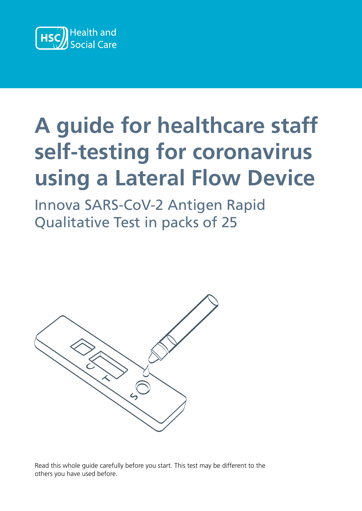

#### self-testing for coronav **using a Lateral Flow A guide for the formula**<br>Relit-testing for coronav using a Lateral Flow **A guide for healthcare staff self-testing for coronavirus using a Lateral Flow Device**

**coronavirus using a**  Innova SARS-CoV-2 Antigen Rapid Qualitative Test in packs of 25 **innova SARS-COV-2 Antigen Ra**<br>Qualitative Test in packs of 25 **Lateral Flow Device (LFD)** Qualitative Test in packs of 25



Read this whole guide carefully before you start. This test may be different to the others you have used before.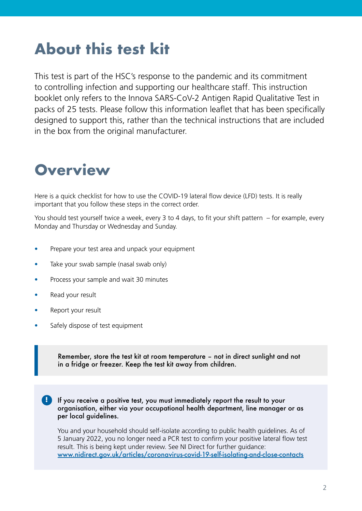## **About this test kit**

This test is part of the HSC's response to the pandemic and its commitment to controlling infection and supporting our healthcare staff. This instruction booklet only refers to the Innova SARS-CoV-2 Antigen Rapid Qualitative Test in packs of 25 tests. Please follow this information leaflet that has been specifically designed to support this, rather than the technical instructions that are included in the box from the original manufacturer.

### **Overview Overview**

Here is a quick checklist for how to use the COVID-19 lateral flow device (LFD) tests. It is really important that you follow these steps in the correct order.

You should test yourself twice a week, every 3 to 4 days, to fit your shift pattern  $-$  for example, every Monday and Thursday or Wednesday and Sunday.

- Prepare your test area and unpack your equipment **example includes**  $\blacksquare$
- Take your swab sample (nasal swab only) to keep the extraction tube upright and prevent spillage.
- Process your sample and wait 30 minutes
- Read your result
- Report your result  $\mathcal{L}$  safegure of test equipment of the test equipment of the test equipment of the same of the same of the same of the same of the same of the same of the same of the same of the same of the same of the same of the sa
- Safely dispose of test equipment

Remember, store the test kit at room temperature – not in direct sunlight and not **Remember, store the test kit at room temperature – not in direct sunlight and**  in a fridge or freezer. Keep the test kit away from children. **not in a fridge or freezer. Keep the test kit away from children.**

 $\blacksquare$  If you receive a positive test, you must immediately report the result to your organisation, either via your occupational health department, line manager or as **organisation, either via your occupational health department, line manager or as**  per local guidelines. **per local guidelines.** 

You and your household should self-isolate according to public health guidelines. As of 5 January 2022, you no longer need a PCR test to confirm your positive lateral flow test result. This is being kept under review. See NI Direct for further guidance: <u>www.nidirect.gov.uk/articles/coronavirus-covid-19-self-isolating-and-close-contacts</u> the date you became positive.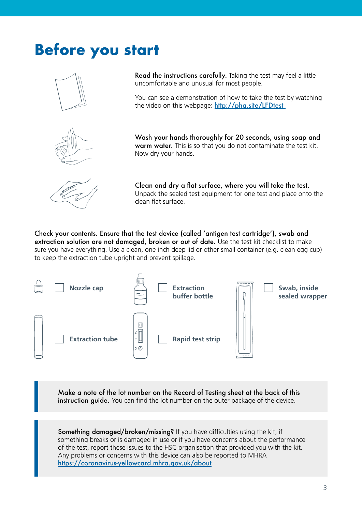## **Before you start Before you start**





**Read the instructions carefully.** Taking the test may feel a little Read the instructions carefully. Taking the test may feel a little **Read the** uncomfortable and unusual for most people. uncomfortable and unusual for most people.

You can see a demonstration of how to take the test by watching You can see a demonstration of how to take the test by watching the video on this webpage: **http://pha.site/LFDtest** uncomfortable and unusual for most people.<br>You can see a demonstration of how to take the test by watching<br>the video on this webpage: **http://pha.site/LFDtest**<br>Wash your hands thoroughly for 20 seconds, using soap and

**Wash your hands thoroughly for 20 seconds, using soap and**  Wash your hands thoroughly for 20 seconds, using soap and **warm water.** This is so that you do not contaminate the test kit.<br>Now dry your hands. Now dry your hands. Now dry your hands.



**Clean and dry a flat surface, where you will take the test.**  Clean and dry a flat surface, where you will take the test. **dry a flat surface,** Unpack the sealed test equipment for one test and place onto the clean flat surface. clean flat surface.

Check your contents. Ensure that the test device (called 'antigen test cartridge'), swab and<br>extraction solution are not damaged, broken or out of date. Use the test kit checklist to make<br>sure you have everything. Use a cl **extraction solution are not damaged, broken or out of date.** Use the test kit checklist to make extraction solution are not damaged, broken or out of date. Use the test kit checklist to make sure you have everything. Use a clean, one inch deep lid or other small container (e.g. clean egg cup) sure you have everything. Use a clean, one inch deep lid or other small container (e.g. clean egg cup) to keep the extraction tube upright and prevent spillage. to keep the extraction tube upright and prevent spillage. **Notify the volume of the straction solution are not damaged,<br>
The volume of the volume of the volume of the volume of the volume of the volume of the volume of the value of the value of the extraction solution are not dam** 



Make a note of the lot number on the Record of Testing sheet at the back of this<br>instruction guide. You can find the lot number on the outer package of the device. **instruction guide.** You can find the lot number on the outer package of the device.

**Something damaged/broken/missing?** If you have difficulties using the kit, if something breaks or is damaged in use or if you have concerns about the performance of the test, report these issues to the HSC organisation that provided you with the kit. problems or concerns with this device can also be reported to MHRA Any problems or concerns with this device can also be reported to MHRA **https://coronavirus-yellowcard.mhra.gov.uk/about** https://coronavirus-yellowcard.mhra.gov.uk/about something breaks or is damaged in use or if you have concerns about the performance<br>of the test, report these issues to the HSC organisation that provided you with the kit.<br>Any problems or concerns with this device can als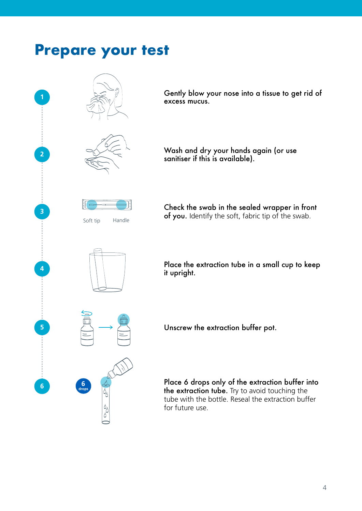### **Prepare your test Prepare your test**



**Gently blow your nose into a tissue to get rid of excess mucus.** excess mucus.

**Wash and dry your hands again (or use**  Wash and dry your hands again (or use **sanitiser if this is available).** sanitiser if this is available).

**Check the swab in the sealed wrapper in front**  Check the swab in the sealed wrapper in front of you. Identify the soft, fabric tip of the swab.

Place the extraction tube in a small cup to keep<br>it upright. **it upright.** it upright.

Unscrew the extraction buffer pot.

**Place 6 drops only of the extraction buffer into buffer into**  Place 6 drops only of the extraction buffer into **the extraction tube.** Try to avoid touching the the extraction tube. Try to avoid touching the tube with the bottle. Reseal the extraction buffer for future use.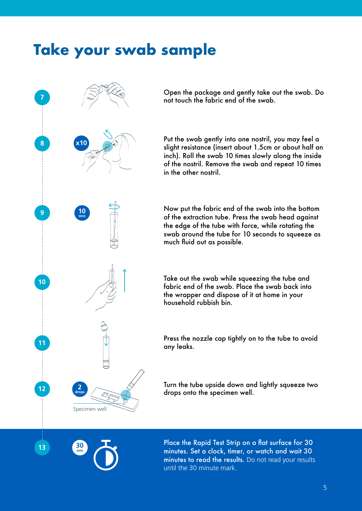### **Take your swab sample**



Open the package and gently take out the swab. Do  $\epsilon$  point the fabric end of the swab. this video: **https://learninghub.nhs.uk/self-swab**

**Put the swab gently into one nostril, you may feel a** slight resistance (insert about 1.5cm or about half an inch). Roll the swab 10 times slowly along the inside of the nostril. Remove the swab and repeat 10 times in the other nostril. Open the package and gently take out the swab. Do<br>not touch the fabric end of the swab.<br>Put the swab gently into one notiful, you may feel a<br>slight resistance (inster toout 1.5cm or about half an<br>inch). Roll the swab 10 ti

Now put the fabric end of the swab into the bottom of the extraction tube. Press the swab head against the edge of the tube with force, while rotating the **Check your contents. Ensure that you content is swab around the tube for 10 seconds to squeeze as** extraction solution solution solution solution solution are not defined out as possible.

> Take out the swab while squeezing the tube and fabric end of the swab. Place the swab back into **Swab, inside Extraction**  the wrapper and dispose of it at home in your household rubbish bin.

**Press the nozzle cap tightly on to the tube to avoid**  $\mathbb{R}$ any leaks.

Turn the tube upside down and lightly squeeze two **Make a note of the specimen well.** And  $\alpha$  is a note of the specimen well.



**13**

**Place the Rapid Test Strip on a flat surface for 30** the test of the test minutes. Set a clock, timer, or watch and wait 30 **problems of the results** in this device can also be read the results. Do not read your results **https://coronavirus-yellowcard.**mhra.com/until the 30 minute mark.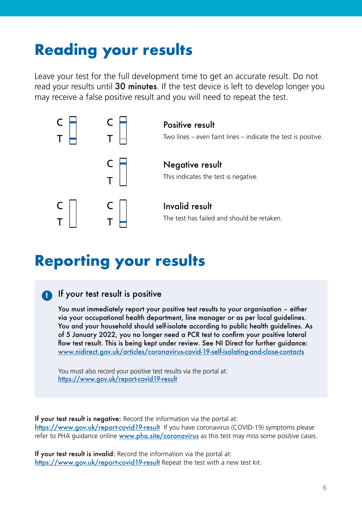## **Reading your results Reading your results**

Leave your test for the full development time to get an accurate result. Do not read your results until **30 minutes**. If the test device is left to develop longer you read your results until 30 minutes. If the test device is left to develop longer you may receive a false positive result and you will need to repeat the test. may receive a false positive result and you will need to repeat the test.



### **Reporting your results Reporting your results**

#### **If your test result is positive** If your test result is positive **!**

**You must immediately report your positive test results to your organisation –**  You must immediately report your positive test results to your organisation – either **either via your occupational health department, line manager or as per local**  via your occupational health department, line manager or as per local guidelines. You and your household should self-isolate according to public health guidelines. As You and your household should self-isolate according to public health guidelines. *P*<br>of 5 January 2022, you no longer need a PCR test to confirm your positive lateral www.nidirect.gov.uk/articles/coronavirus-covid-19-self-isolating-and-close-contacts flow test result. This is being kept under review. See NI Direct for further guidance: Four must immediately report your positive test results to your organisation – either<br>via your occupational health department, line manager or as per local guidelines.<br>Nou and your household should self-isolate according t

You must also record your positive test results via the portal at: <br> <u>https://www.gov.uk/report-covid19-result</u>

**If your test result is negative:** Record the information via the portal at:<br>If your test result is negative: Necord the information via the portal at: document or organisation. If you have coronavirus (COVID-19) symptoms please refer to PHA guidance online www.pha.site/coronavirus as this test may miss some positive cases. https://www.gov.uk/report-covid19-result If you have coronavirus (COVID-19) symptoms please Record the find of the findmation via the portal at:<br> **https://www.gov.uk/report-covid 19-result** If you have coronavirus (COVID-19) symptoms please<br> **refer to PHA guidance online www.pha.site/coronavirus** as this test may our test result is negative: Record the information via the portal at:<br>ps://www.gov.uk/report-covid 19-result If you have coronavirus (COVID-19) symptoms please<br>er to PHA guidance online www.pha.site/coronavirus as this te

positive cases. https://www.gov.uk/report-covid19-result Repeat the test with a new test kit. If your test result is invalid: Record the information via the portal at: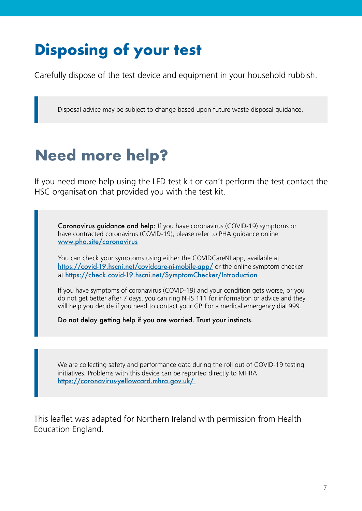# **Disposing of your test Disposing of your test**

Carefully dispose of the test device and equipment in your household rubbish. Carefully dispose of the test device and equipment in your household rubbish.

Disposal advice may be subject to change based upon future waste disposal guidance. Disposal advice may be subject to change based upon future waste disposal guidance.

## **Need more help? Need more help?**

If you need more help using the LFD test kit or can't perform the test contact the HSC organisation that provided you with the test kit.

If you can't perform the test you should contact your NHS organisation's helpline.

www.pha.site/coronavirus (COVID-19) symptoms or the coronavirus (COVID-19) symptoms or the coronavirus (COVID-19) symptoms or the coronavirus (COVID-19) symptoms or the coronavirus (COVID-19) symptoms or the coronavirus (C Coronavirus guidance and help: If you have coronavirus (COVID-19) symptoms or have contracted coronavirus (COVID-19), please refer to PHA guidance online

You can check your symptoms using either the COVIDCareNI app, available at at https://check.covid-19.hscni.net/SymptomChecker/Introduction https://covid-19.hscni.net/covidcare-ni-mobile-app/ or the online symptom checker

If you have symptoms of coronavirus (COVID-19) and your condition gets worse, or you will help you decide if you need to contact your GP. For a medical emergency dial 999. do not get better after 7 days, you can ring NHS 111 for information or advice and they

Do not delay getting help if you are worried. Trust your instincts.

We are collecting safety and performance data during the roll out of COVID-19 testing initiatives. Problems with this device can be reported directly to MHRA https://coronavirus-yellowcard.mhra.gov.uk/

This leaflet was adapted for Northern Ireland with permission from Health Education England.